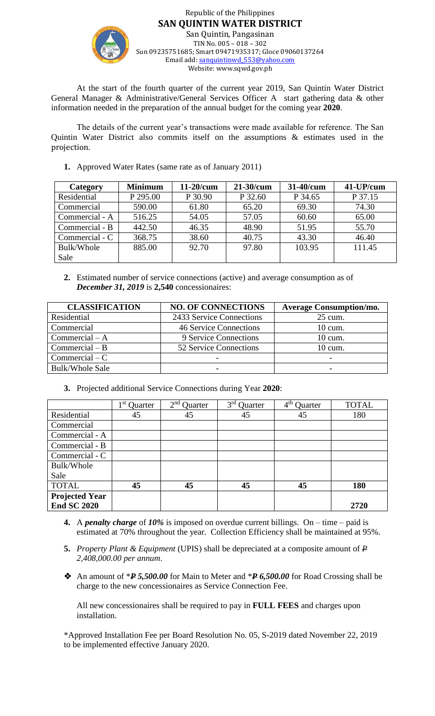

Republic of the Philippines **SAN QUINTIN WATER DISTRICT** San Quintin, Pangasinan TIN No. 005 – 018 – 302 Sun 09235751685; Smart 09471935317; Gloce 09060137264 Email add[: sanquintinwd\\_553@yahoo.com](mailto:sanquintinwd_553@yahoo.com) Website: www.sqwd.gov.ph

At the start of the fourth quarter of the current year 2019, San Quintin Water District General Manager & Administrative/General Services Officer A start gathering data & other information needed in the preparation of the annual budget for the coming year **2020**.

The details of the current year's transactions were made available for reference. The San Quintin Water District also commits itself on the assumptions & estimates used in the projection.

**1.** Approved Water Rates (same rate as of January 2011)

| <b>Category</b> | <b>Minimum</b> | $11-20/cum$ | $21-30/cum$ | 31-40/cum | 41-UP/cum |
|-----------------|----------------|-------------|-------------|-----------|-----------|
| Residential     | P 295.00       | P 30.90     | P 32.60     | P 34.65   | P 37.15   |
| Commercial      | 590.00         | 61.80       | 65.20       | 69.30     | 74.30     |
| Commercial - A  | 516.25         | 54.05       | 57.05       | 60.60     | 65.00     |
| Commercial - B  | 442.50         | 46.35       | 48.90       | 51.95     | 55.70     |
| Commercial - C  | 368.75         | 38.60       | 40.75       | 43.30     | 46.40     |
| Bulk/Whole      | 885.00         | 92.70       | 97.80       | 103.95    | 111.45    |
| Sale            |                |             |             |           |           |

**2.** Estimated number of service connections (active) and average consumption as of *December 31, 2019* is **2,540** concessionaires:

| <b>CLASSIFICATION</b>  | <b>NO. OF CONNECTIONS</b>     | <b>Average Consumption/mo.</b> |
|------------------------|-------------------------------|--------------------------------|
| Residential            | 2433 Service Connections      | 25 cum.                        |
| Commercial             | <b>46 Service Connections</b> | $10 \text{ cum.}$              |
| Commercial $-A$        | 9 Service Connections         | 10 cum.                        |
| $Commercial - B$       | 52 Service Connections        | 10 cum.                        |
| $Commercial - C$       |                               |                                |
| <b>Bulk/Whole Sale</b> |                               |                                |

**3.** Projected additional Service Connections during Year **2020**:

|                       | 1 st<br>Quarter | $2nd$ Quarter | 3 <sup>rd</sup><br>Quarter | 4 <sup>th</sup><br>Quarter | <b>TOTAL</b> |
|-----------------------|-----------------|---------------|----------------------------|----------------------------|--------------|
| Residential           | 45              | 45            | 45                         | 45                         | 180          |
| Commercial            |                 |               |                            |                            |              |
| Commercial - A        |                 |               |                            |                            |              |
| Commercial - B        |                 |               |                            |                            |              |
| Commercial - C        |                 |               |                            |                            |              |
| Bulk/Whole            |                 |               |                            |                            |              |
| Sale                  |                 |               |                            |                            |              |
| <b>TOTAL</b>          | 45              | 45            | 45                         | 45                         | 180          |
| <b>Projected Year</b> |                 |               |                            |                            |              |
| <b>End SC 2020</b>    |                 |               |                            |                            | 2720         |

- **4.** A *penalty charge* of *10%* is imposed on overdue current billings. On time paid is estimated at 70% throughout the year. Collection Efficiency shall be maintained at 95%.
- **5.** *Property Plant & Equipment* (UPIS) shall be depreciated at a composite amount of *P 2,408,000.00 per annum*.
- An amount of \**P 5,500.00* for Main to Meter and \**P 6,500.00* for Road Crossing shall be charge to the new concessionaires as Service Connection Fee.

All new concessionaires shall be required to pay in **FULL FEES** and charges upon installation.

\*Approved Installation Fee per Board Resolution No. 05, S-2019 dated November 22, 2019 to be implemented effective January 2020.